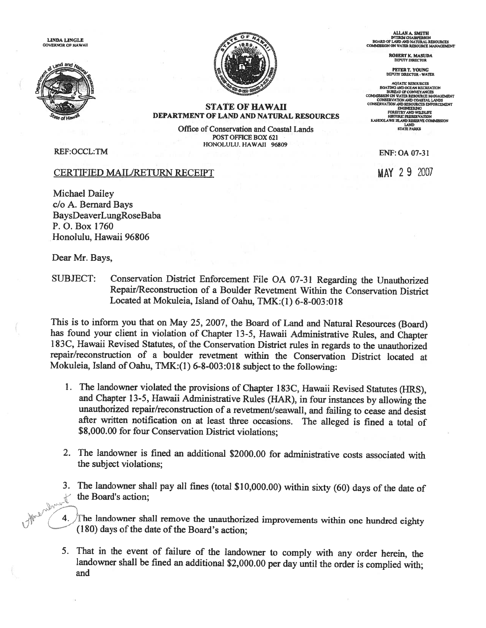LINDA LINGLE GOVERNOR OF HAWAII





ALLAN A. SMITH INTERIMCIIAIRPERSON BOARD or LAND ASS) NATURAL RESOURCES WATER RESOURCE MANAGEMENT

> ROBERT K. MASUDA DEPLOY DIRECTOR

PETER T. YOUNG<br>DEPUTY DIRECTOR - WATER

AQUATIC RESOURCES<br>BOATING AND OCEAN RECREATION<br>BUREAU OF CONVEYANCES<br>COMMISSION ON WATER RESOURCE MANAGEMENT CONSERVATIONAND COASTAL LANDS CONSERVATION AND RESOURCES ENFORCEMENT ENGRIEERING<br>FORESTRY AND WILDLIFE<br>HISTORIC PRESERVATION<br>KAHOOLAWE ISLAND RESERVE COMMISSION LAND<br>STATE PARKS

## STATE OF HAWAII DEPARTMENT OF LAND AND NATURAL RESOURCES

Office of Conservation and Coastal Lands POST OFFICE BOX 621 HONOLULU. HAWAJI 96809

REF:OCCL:TM

## CERTIFIED MAIL/RETURN RECEIPT MAY 2 9 2007

Michael Dailey c/o A. Bernard Bays BaysDeaverLungRoseBaba P. 0. Box 1760 Honolulu, Hawaii 96806

Dear Mr. Bays,

SUBJECT: Conservation District Enforcement File OA 07-31 Regarding the Unauthorized Repair/Reconstruction of <sup>a</sup> Boulder Revetment Within the Conservation District Located at Mokuleia, Island of Oahu, TMK:(1) 6-8-003:018

This is to inform you that on May 25, 2007, the Board of Land and Natural Resources (Board) has found your client in violation of Chapter 13-5, Hawaii Administrative Rules, and Chapter <sup>I</sup> 83C, Hawaii Revised Statutes, of the Conservation District rules in regards to the unauthorized repair/reconstruction of <sup>a</sup> boulder revetment within the Conservation District located at Mokuleia, Island of Oahu, TMK:(1) 6-8-003:018 subject to the following:

- 1. The landowner violated the provisions of Chapter <sup>1</sup> 83C, Hawaii Revised Statutes (HRS), and Chapter 13-5, Hawaii Administrative Rules (HAR), in four instances by allowing the unauthorized repair/reconstruction of <sup>a</sup> revetment/seawall, and failing to cease and desist after written notification on at least three occasions. The alleged is fined <sup>a</sup> total of \$8,000.00 for four Conservation District violations;
- 2. The landowner is fined an additional \$2000.00 for administrative costs associated with the subject violations;
- 3. The landowner shall pay all fines (total \$10,000.00) within sixty (60) days of the date of<br>the Board's action;<br>4. The landowner shall remove at the Board's action;

The landowner shall remove the unauthorized improvements within one hundred eighty  $(180)$  days of the date of the Board's action;

5. That in the event of failure of the landowner to comply with any order herein, the landowner shall be fined an additional \$2,000.00 per day until the order is complied with; and

ENF: OA 07-31